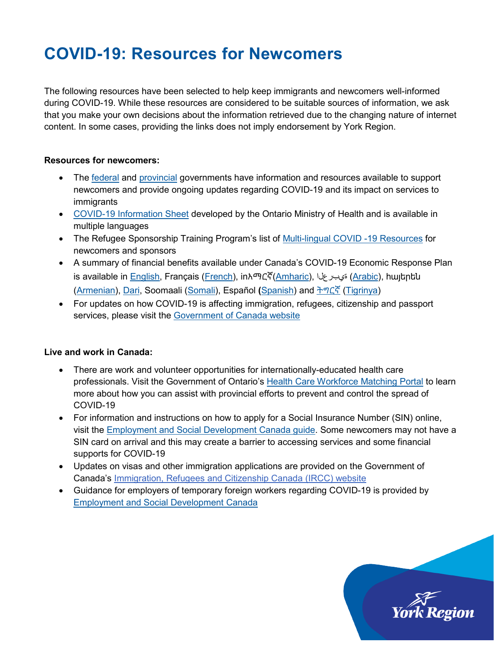## **COVID-19: Resources for Newcomers**

The following resources have been selected to help keep immigrants and newcomers well-informed during COVID-19. While these resources are considered to be suitable sources of information, we ask that you make your own decisions about the information retrieved due to the changing nature of internet content. In some cases, providing the links does not imply endorsement by York Region.

## **Resources for newcomers:**

- The [federal](https://www.canada.ca/en/immigration-refugees-citizenship/services/coronavirus-covid19.html) and [provincial](https://www.ontario.ca/page/services-newcomers-and-refugees) governments have information and resources available to support newcomers and provide ongoing updates regarding COVID-19 and its impact on services to immigrants
- [COVID-19 Information Sheet](https://www.ontario.ca/page/2019-novel-coronavirus#section-16) developed by the Ontario Ministry of Health and is available in multiple languages
- The Refugee Sponsorship Training Program's list of [Multi-lingual COVID -19 Resources](http://www.rstp.ca/wp-content/uploads/2020/03/COVID-19-Multi-Language-Resources.ENG_.pdf) for newcomers and sponsors
- A summary of financial benefits available under Canada's COVID-19 Economic Response Plan is available in <u>English</u>, Français (<u>French</u>), in[አማርኛ](http://www.rstp.ca/wp-content/uploads/2020/04/covid19fedsupportsamharic.pdf)(<u>Amharic</u>), الخيبرع ([Arabic\)](http://www.rstp.ca/wp-content/uploads/2020/04/covid19fedsupportarabic.pdf), huyերեն [\(Armenian\)](http://www.rstp.ca/wp-content/uploads/2020/04/covid19fedsupportsarmenian.pdf), [Dari,](http://www.rstp.ca/wp-content/uploads/2020/04/covid19fedsupportdari.pdf) [Soomaali](http://www.rstp.ca/wp-content/uploads/2020/04/covid19fedsupportsomalia.pdf) [\(Somali\)](http://www.rstp.ca/wp-content/uploads/2020/04/covid19fedsupportsomalia.pdf), [Español](http://www.rstp.ca/wp-content/uploads/2020/04/covid19fedsupportsspanish.pdf) **(**[Spanish\)](http://www.rstp.ca/wp-content/uploads/2020/04/covid19fedsupportsspanish.pdf) and [ትግርኛ](http://www.rstp.ca/wp-content/uploads/2020/04/covid19fedsupportstigrinya.pdf) [\(Tigrinya\)](http://www.rstp.ca/wp-content/uploads/2020/04/covid19fedsupportstigrinya.pdf)
- For updates on how COVID-19 is affecting immigration, refugees, citizenship and passport services, please visit the [Government of Canada website](https://www.canada.ca/en/immigration-refugees-citizenship/services/coronavirus-covid19.html)

## **Live and work in Canada:**

- There are work and volunteer opportunities for internationally-educated health care professionals. Visit the Government of Ontario's Health [Care Workforce Matching Portal](https://healthcloudtrialmaster-15a4d-17117fe91a8.force.com/matchingportal/s/?language=en_US) to learn more about how you can assist with provincial efforts to prevent and control the spread of COVID-19
- For information and instructions on how to apply for a Social Insurance Number (SIN) online, visit the [Employment and Social Development Canada guide.](https://www.canada.ca/en/employment-social-development/corporate/notices/sin-applicant-guide.html) Some newcomers may not have a SIN card on arrival and this may create a barrier to accessing services and some financial supports for COVID-19
- Updates on visas and other immigration applications are provided on the Government of Canada's [Immigration, Refugees and Citizenship Canada \(IRCC\) website](https://www.canada.ca/en/immigration-refugees-citizenship/news/notices.html)
- Guidance for employers of temporary foreign workers regarding COVID-19 is provided by [Employment and Social Development Canada](https://www.canada.ca/en/employment-social-development/services/foreign-workers/employer-compliance/covid-guidance.html)